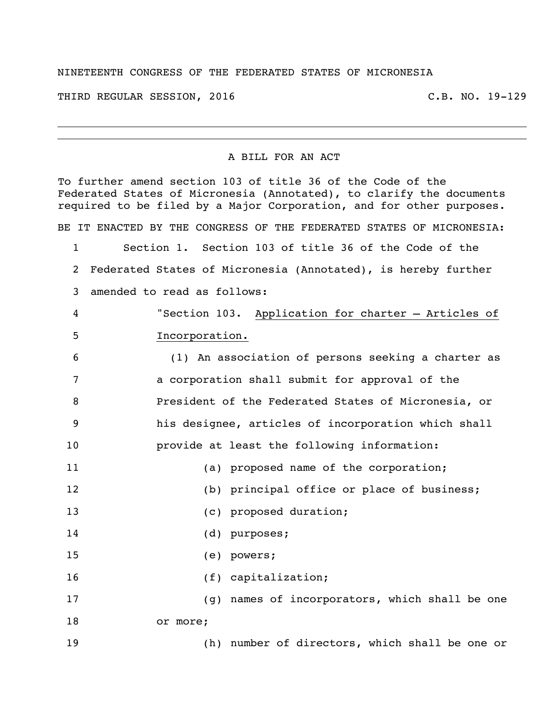## NINETEENTH CONGRESS OF THE FEDERATED STATES OF MICRONESIA

THIRD REGULAR SESSION, 2016 C.B. NO. 19-129

## A BILL FOR AN ACT

To further amend section 103 of title 36 of the Code of the Federated States of Micronesia (Annotated), to clarify the documents required to be filed by a Major Corporation, and for other purposes. BE IT ENACTED BY THE CONGRESS OF THE FEDERATED STATES OF MICRONESIA: Section 1. Section 103 of title 36 of the Code of the Federated States of Micronesia (Annotated), is hereby further amended to read as follows: "Section 103. Application for charter – Articles of Incorporation. (1) An association of persons seeking a charter as a corporation shall submit for approval of the President of the Federated States of Micronesia, or his designee, articles of incorporation which shall provide at least the following information: (a) proposed name of the corporation; (b) principal office or place of business; (c) proposed duration; (d) purposes; (e) powers; 16 (f) capitalization; (g) names of incorporators, which shall be one 18 or more; (h) number of directors, which shall be one or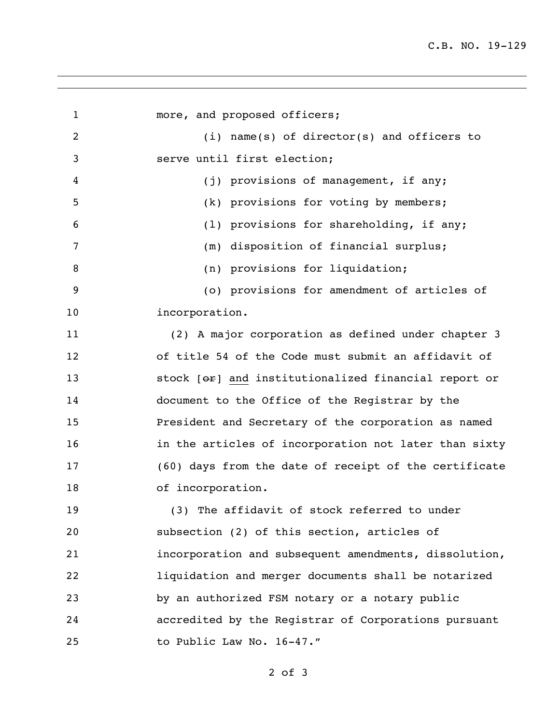1 more, and proposed officers; (i) name(s) of director(s) and officers to serve until first election; (j) provisions of management, if any; (k) provisions for voting by members; (l) provisions for shareholding, if any; (m) disposition of financial surplus; 8 (n) provisions for liquidation; (o) provisions for amendment of articles of incorporation. (2) A major corporation as defined under chapter 3 of title 54 of the Code must submit an affidavit of 13 stock [ $\Theta$  and institutionalized financial report or document to the Office of the Registrar by the President and Secretary of the corporation as named **in the articles of incorporation not later than sixty**  (60) days from the date of receipt of the certificate of incorporation. (3) The affidavit of stock referred to under subsection (2) of this section, articles of incorporation and subsequent amendments, dissolution, liquidation and merger documents shall be notarized by an authorized FSM notary or a notary public accredited by the Registrar of Corporations pursuant to Public Law No. 16-47."

## of 3